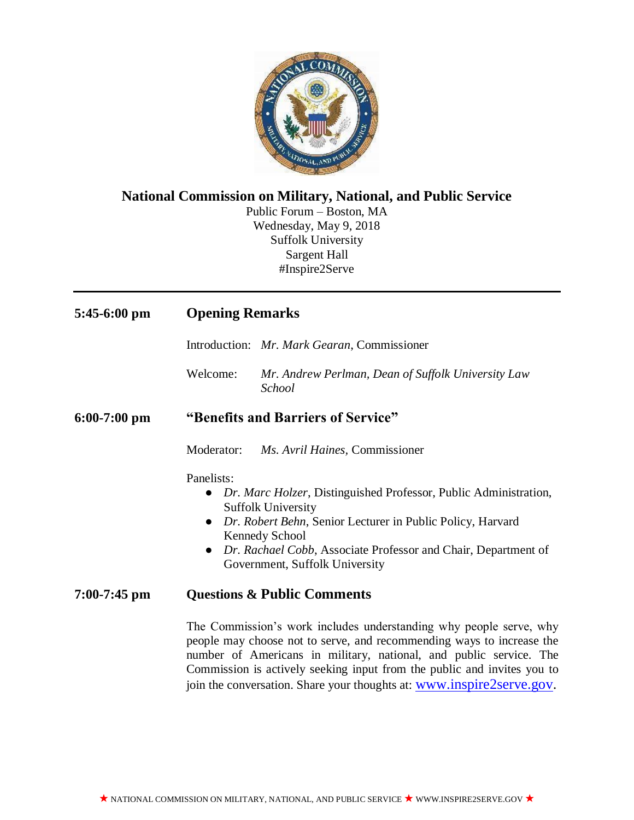

# **National Commission on Military, National, and Public Service**

Public Forum – Boston, MA Wednesday, May 9, 2018 Suffolk University Sargent Hall #Inspire2Serve

| $5:45-6:00$ pm | <b>Opening Remarks</b>                                                                                                                                                                                                                                                                                                                                                |                                                                                                                                                                                                                                                                                          |
|----------------|-----------------------------------------------------------------------------------------------------------------------------------------------------------------------------------------------------------------------------------------------------------------------------------------------------------------------------------------------------------------------|------------------------------------------------------------------------------------------------------------------------------------------------------------------------------------------------------------------------------------------------------------------------------------------|
|                |                                                                                                                                                                                                                                                                                                                                                                       | Introduction: Mr. Mark Gearan, Commissioner                                                                                                                                                                                                                                              |
|                | Welcome:                                                                                                                                                                                                                                                                                                                                                              | Mr. Andrew Perlman, Dean of Suffolk University Law<br><b>School</b>                                                                                                                                                                                                                      |
| $6:00-7:00$ pm | "Benefits and Barriers of Service"                                                                                                                                                                                                                                                                                                                                    |                                                                                                                                                                                                                                                                                          |
|                | Moderator:                                                                                                                                                                                                                                                                                                                                                            | Ms. Avril Haines, Commissioner                                                                                                                                                                                                                                                           |
|                | Panelists:<br>$\bullet$<br>$\bullet$<br>$\bullet$                                                                                                                                                                                                                                                                                                                     | Dr. Marc Holzer, Distinguished Professor, Public Administration,<br><b>Suffolk University</b><br>Dr. Robert Behn, Senior Lecturer in Public Policy, Harvard<br><b>Kennedy School</b><br>Dr. Rachael Cobb, Associate Professor and Chair, Department of<br>Government, Suffolk University |
| $7:00-7:45$ pm | <b>Questions &amp; Public Comments</b>                                                                                                                                                                                                                                                                                                                                |                                                                                                                                                                                                                                                                                          |
|                | The Commission's work includes understanding why people serve, why<br>people may choose not to serve, and recommending ways to increase the<br>number of Americans in military, national, and public service. The<br>Commission is actively seeking input from the public and invites you to<br>join the conversation. Share your thoughts at: www.inspire2serve.gov. |                                                                                                                                                                                                                                                                                          |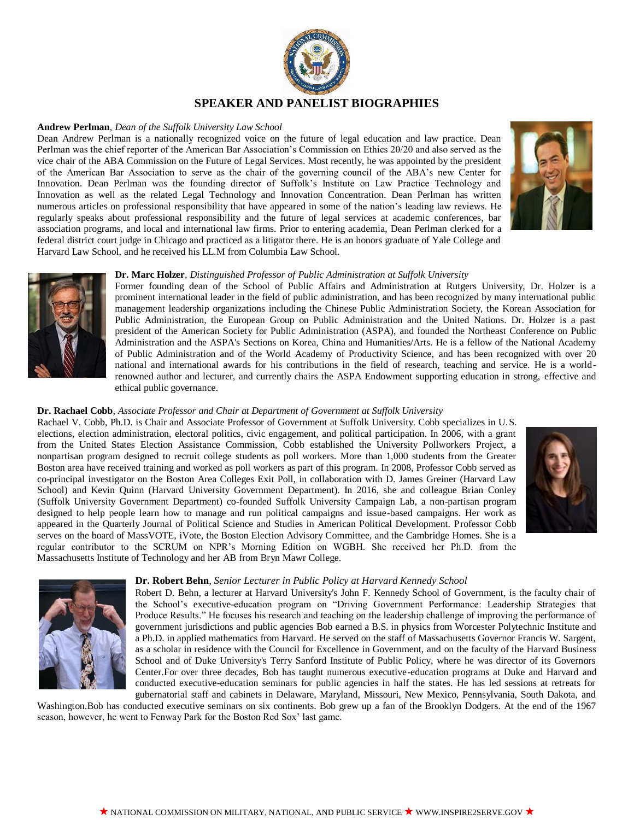

### **Andrew Perlman***, Dean of the Suffolk University Law School*

Dean Andrew Perlman is a nationally recognized voice on the future of legal education and law practice. Dean Perlman was the chief reporter of the American Bar Association's Commission on Ethics 20/20 and also served as the vice chair of the ABA Commission on the Future of Legal Services. Most recently, he was appointed by the president of the American Bar Association to serve as the chair of the governing council of the ABA's new Center for Innovation. Dean Perlman was the founding director of Suffolk's Institute on Law Practice Technology and Innovation as well as the related Legal Technology and Innovation Concentration. Dean Perlman has written numerous articles on professional responsibility that have appeared in some of the nation's leading law reviews. He regularly speaks about professional responsibility and the future of legal services at academic conferences, bar association programs, and local and international law firms. Prior to entering academia, Dean Perlman clerked for a federal district court judge in Chicago and practiced as a litigator there. He is an honors graduate of Yale College and Harvard Law School, and he received his LL.M from Columbia Law School.





## **Dr. Marc Holzer***, Distinguished Professor of Public Administration at Suffolk University*

Former founding dean of the School of Public Affairs and Administration at Rutgers University, Dr. Holzer is a prominent international leader in the field of public administration, and has been recognized by many international public management leadership organizations including the Chinese Public Administration Society, the Korean Association for Public Administration, the European Group on Public Administration and the United Nations. Dr. Holzer is a past president of the American Society for Public Administration (ASPA), and founded the Northeast Conference on Public Administration and the ASPA's Sections on Korea, China and Humanities/Arts. He is a fellow of the National Academy of Public Administration and of the World Academy of Productivity Science, and has been recognized with over 20 national and international awards for his contributions in the field of research, teaching and service. He is a worldrenowned author and lecturer, and currently chairs the ASPA Endowment supporting education in strong, effective and ethical public governance.

## **Dr. Rachael Cobb**, *Associate Professor and Chair at Department of Government at Suffolk University*

Rachael V. Cobb, Ph.D. is Chair and Associate Professor of Government at Suffolk University. Cobb specializes in U.S. elections, election administration, electoral politics, civic engagement, and political participation. In 2006, with a grant from the United States Election Assistance Commission, Cobb established the University Pollworkers Project, a nonpartisan program designed to recruit college students as poll workers. More than 1,000 students from the Greater Boston area have received training and worked as poll workers as part of this program. In 2008, Professor Cobb served as co-principal investigator on the Boston Area Colleges Exit Poll, in collaboration with D. James Greiner (Harvard Law School) and Kevin Quinn (Harvard University Government Department). In 2016, she and colleague Brian Conley (Suffolk University Government Department) co-founded Suffolk University Campaign Lab, a non-partisan program designed to help people learn how to manage and run political campaigns and issue-based campaigns. Her work as appeared in the Quarterly Journal of Political Science and Studies in American Political Development. Professor Cobb serves on the board of MassVOTE, iVote, the Boston Election Advisory Committee, and the Cambridge Homes. She is a regular contributor to the SCRUM on NPR's Morning Edition on WGBH. She received her Ph.D. from the Massachusetts Institute of Technology and her AB from Bryn Mawr College.





#### **Dr. Robert Behn**, *Senior Lecturer in Public Policy at Harvard Kennedy School*

Robert D. Behn, a lecturer at Harvard University's John F. Kennedy School of Government, is the faculty chair of the School's executive-education program on "Driving Government Performance: Leadership Strategies that Produce Results." He focuses his research and teaching on the leadership challenge of improving the performance of government jurisdictions and public agencies Bob earned a B.S. in physics from Worcester Polytechnic Institute and a Ph.D. in applied mathematics from Harvard. He served on the staff of Massachusetts Governor Francis W. Sargent, as a scholar in residence with the Council for Excellence in Government, and on the faculty of the Harvard Business School and of Duke University's Terry Sanford Institute of Public Policy, where he was director of its Governors Center.For over three decades, Bob has taught numerous executive-education programs at Duke and Harvard and conducted executive-education seminars for public agencies in half the states. He has led sessions at retreats for gubernatorial staff and cabinets in Delaware, Maryland, Missouri, New Mexico, Pennsylvania, South Dakota, and

Washington.Bob has conducted executive seminars on six continents. Bob grew up a fan of the Brooklyn Dodgers. At the end of the 1967 season, however, he went to Fenway Park for the Boston Red Sox' last game.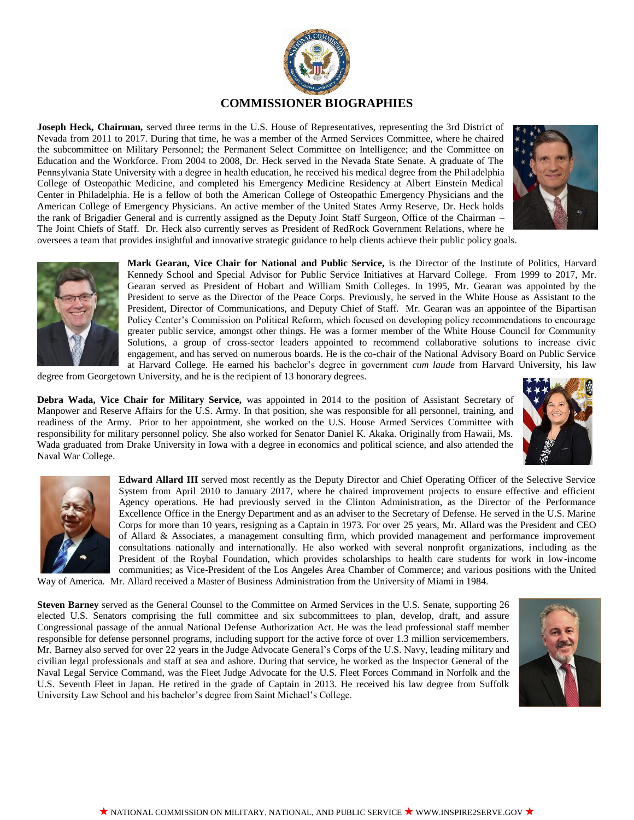

**Joseph Heck, Chairman,** served three terms in the U.S. House of Representatives, representing the 3rd District of Nevada from 2011 to 2017. During that time, he was a member of the Armed Services Committee, where he chaired the subcommittee on Military Personnel; the Permanent Select Committee on Intelligence; and the Committee on Education and the Workforce. From 2004 to 2008, Dr. Heck served in the Nevada State Senate. A graduate of The Pennsylvania State University with a degree in health education, he received his medical degree from the Phil adelphia College of Osteopathic Medicine, and completed his Emergency Medicine Residency at Albert Einstein Medical Center in Philadelphia. He is a fellow of both the American College of Osteopathic Emergency Physicians and the American College of Emergency Physicians. An active member of the United States Army Reserve, Dr. Heck holds the rank of Brigadier General and is currently assigned as the Deputy Joint Staff Surgeon, Office of the Chairman – The Joint Chiefs of Staff. Dr. Heck also currently serves as President of RedRock Government Relations, where he oversees a team that provides insightful and innovative strategic guidance to help clients achieve their public policy goals.





**Mark Gearan, Vice Chair for National and Public Service,** is the Director of the Institute of Politics, Harvard Kennedy School and Special Advisor for Public Service Initiatives at Harvard College. From 1999 to 2017, Mr. Gearan served as President of Hobart and William Smith Colleges. In 1995, Mr. Gearan was appointed by the President to serve as the Director of the Peace Corps. Previously, he served in the White House as Assistant to the President, Director of Communications, and Deputy Chief of Staff. Mr. Gearan was an appointee of the Bipartisan Policy Center's Commission on Political Reform, which focused on developing policy recommendations to encourage greater public service, amongst other things. He was a former member of the White House Council for Community Solutions, a group of cross-sector leaders appointed to recommend collaborative solutions to increase civic engagement, and has served on numerous boards. He is the co-chair of the National Advisory Board on Public Service at Harvard College. He earned his bachelor's degree in government *cum laude* from Harvard University, his law

degree from Georgetown University, and he is the recipient of 13 honorary degrees.

**Debra Wada, Vice Chair for Military Service,** was appointed in 2014 to the position of Assistant Secretary of Manpower and Reserve Affairs for the U.S. Army. In that position, she was responsible for all personnel, training, and readiness of the Army. Prior to her appointment, she worked on the U.S. House Armed Services Committee with responsibility for military personnel policy. She also worked for Senator Daniel K. Akaka. Originally from Hawaii, Ms. Wada graduated from Drake University in Iowa with a degree in economics and political science, and also attended the Naval War College.





**Edward Allard III** served most recently as the Deputy Director and Chief Operating Officer of the Selective Service System from April 2010 to January 2017, where he chaired improvement projects to ensure effective and efficient Agency operations. He had previously served in the Clinton Administration, as the Director of the Performance Excellence Office in the Energy Department and as an adviser to the Secretary of Defense. He served in the U.S. Marine Corps for more than 10 years, resigning as a Captain in 1973. For over 25 years, Mr. Allard was the President and CEO of Allard & Associates, a management consulting firm, which provided management and performance improvement consultations nationally and internationally. He also worked with several nonprofit organizations, including as the President of the Roybal Foundation, which provides scholarships to health care students for work in low-income communities; as Vice-President of the Los Angeles Area Chamber of Commerce; and various positions with the United

Way of America. Mr. Allard received a Master of Business Administration from the University of Miami in 1984.

**Steven Barney** served as the General Counsel to the Committee on Armed Services in the U.S. Senate, supporting 26 elected U.S. Senators comprising the full committee and six subcommittees to plan, develop, draft, and assure Congressional passage of the annual National Defense Authorization Act. He was the lead professional staff member responsible for defense personnel programs, including support for the active force of over 1.3 million servicemembers. Mr. Barney also served for over 22 years in the Judge Advocate General's Corps of the U.S. Navy, leading military and civilian legal professionals and staff at sea and ashore. During that service, he worked as the Inspector General of the Naval Legal Service Command, was the Fleet Judge Advocate for the U.S. Fleet Forces Command in Norfolk and the U.S. Seventh Fleet in Japan. He retired in the grade of Captain in 2013. He received his law degree from Suffolk University Law School and his bachelor's degree from Saint Michael's College.